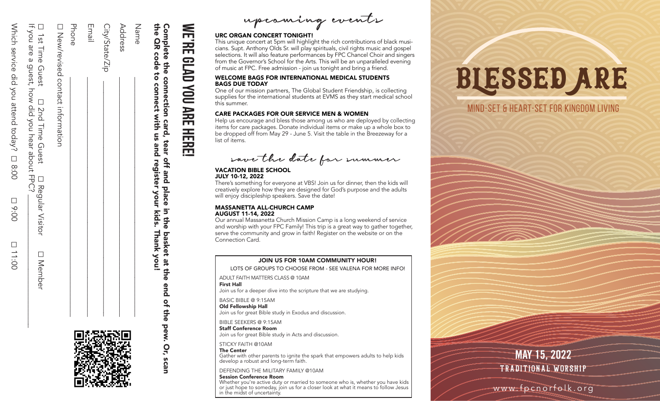| Service did you attend today, □ 8:00<br><b>□ 9:00</b><br>DO:11:00 |
|-------------------------------------------------------------------|
|-------------------------------------------------------------------|

|                                              | Ist Time Guest                                                 |
|----------------------------------------------|----------------------------------------------------------------|
| SOU and a duest, Tow did you hear about HPC. | □ 2nd Time Guest                                               |
| ]<br>))<br>)                                 | □ Requiar Visitor<br>$\overline{a}$<br>$\overline{\mathbf{C}}$ |
|                                              | □ Nember                                                       |

Phone Email □Phone \_\_\_\_\_\_\_\_\_\_\_\_\_\_\_\_\_\_\_\_\_\_\_\_\_\_\_\_\_\_\_\_\_\_\_\_\_\_\_\_\_\_\_\_\_\_\_\_\_\_\_\_\_\_\_\_\_\_\_\_\_ New/revised contact information New/revised  $\mathcal{L}_\text{max}$  and  $\mathcal{L}_\text{max}$  are the set of the set of the set of the set of the set of the set of the set of the set of the set of the set of the set of the set of the set of the set of the set of the set of the set o contact information



## **NE'RE We're glad you are here! CLAD** YOU ARE HERE

the QR code to connect with us and register your kids. Thank you!

and register off and

kids. the<sup></sup>

Thank you!

basket at the end

of the

bew.

Or, scan

with us

 $\mathcal{L} = \{ \mathcal{L} = \{ \mathcal{L} = \mathcal{L} \}$ 

 $Adq$  respectively.

 $\text{City/StateZip} \quad \overline{\text{C}}$ 

City/State/Zip

Complete the connection card, tear off and place in the basket at the end of the pew. Or, scan

**place** your

Name

Address

the<br>

QR code

connect

Complete

the<sub></sub>  $\vec{c}$ 

connection

card, tear

upcoming events

#### URC ORGAN CONCERT TONIGHT!

This unique concert at 5pm will highlight the rich contributions of black musi cians. Supt. Anthony Olds Sr. will play spirituals, civil rights music and gospel selections. It will also feature performances by FPC Chancel Choir and singers from the Governor's School for the Arts. This will be an unparalleled evening of music at FPC. Free admission - join us tonight and bring a friend.

#### WELCOME BAGS FOR INTERNATIONAL MEDICAL STUDENTS BAGS DUE TODAY

One of our mission partners, The Global Student Friendship, is collecting supplies for the international students at EVMS as they start medical school this summer.

#### CARE PACKAGES FOR OUR SERVICE MEN & WOMEN

Help us encourage and bless those among us who are deployed by collecting items for care packages. Donate individual items or make up a whole box to be dropped off from May 29 - June 5. Visit the table in the Breezeway for a list of items.

save the date for summer

#### VACATION BIBLE SCHOOL JULY 10-12, 2022

There's something for everyone at VBS! Join us for dinner, then the kids will creatively explore how they are designed for God's purpose and the adults will enjoy discipleship speakers. Save the date!

#### MASSANETTA ALL-CHURCH CAMP AUGUST 11-14, 2022

Our annual Massanetta Church Mission Camp is a long weekend of service and worship with your FPC Family! This trip is a great way to gather together, serve the community and grow in faith! Register on the website or on the Connection Card.

#### JOIN US FOR 10AM COMMUNITY HOUR!

LOTS OF GROUPS TO CHOOSE FROM - SEE VALENA FOR MORE INFO!

ADULT FAITH MATTERS CLASS @ 10AM First Hall

Join us for a deeper dive into the scripture that we are studying.

BASIC BIBLE @ 9:15AM Old Fellowship Hall Join us for great Bible study in Exodus and discussion.

BIBLE SEEKERS @ 9:15AM

Staff Conference Room Join us for great Bible study in Acts and discussion.

STICKY FAITH @10AM

The Center Gather with other parents to ignite the spark that empowers adults to help kids develop a robust and long-term faith.

DEFENDING THE MILITARY FAMILY @10AM

#### Session Conference Room

Whether you're active duty or married to someone who is, whether you have kids or just hope to someday, join us for a closer look at what it means to follow Jesus in the midst of uncertainty.

## blessed are

#### mind-set & heart-set for Kingdom living

W. Parties

as de la concelhora de la concelhora de la concelhora de la concelhora de la concelhora de la concelhora de la

### **MAY 15, 2022** TRADITIONAL WORSHIP

EASTER SUNDA

Y

www.fpcnorfolk.org